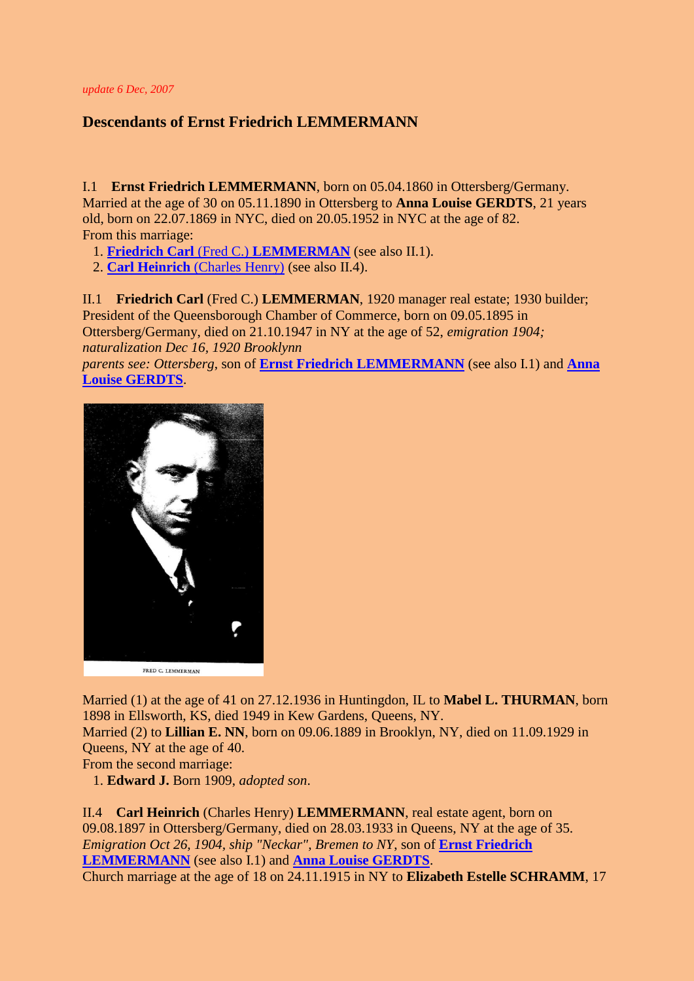*update 6 Dec, 2007*

## **Descendants of Ernst Friedrich LEMMERMANN**

<span id="page-0-2"></span>I.1 **Ernst Friedrich LEMMERMANN**, born on 05.04.1860 in Ottersberg/Germany. Married at the age of 30 on 05.11.1890 in Ottersberg to **Anna Louise GERDTS**, 21 years old, born on 22.07.1869 in NYC, died on 20.05.1952 in NYC at the age of 82. From this marriage:

<span id="page-0-3"></span>1. **Friedrich Carl** (Fred C.) **[LEMMERMAN](#page-0-0)** (see also II.1).

2. **Carl Heinrich** [\(Charles Henry\)](#page-0-1) (see also II.4).

<span id="page-0-0"></span>II.1 **Friedrich Carl** (Fred C.) **LEMMERMAN**, 1920 manager real estate; 1930 builder; President of the Queensborough Chamber of Commerce, born on 09.05.1895 in Ottersberg/Germany, died on 21.10.1947 in NY at the age of 52, *emigration 1904; naturalization Dec 16, 1920 Brooklynn*

*parents see: Ottersberg*, son of **[Ernst Friedrich LEMMERMANN](#page-0-2)** (see also I.1) and **[Anna](#page-0-3)  [Louise GERDTS](#page-0-3)**.



Married (1) at the age of 41 on 27.12.1936 in Huntingdon, IL to **Mabel L. THURMAN**, born 1898 in Ellsworth, KS, died 1949 in Kew Gardens, Queens, NY.

Married (2) to **Lillian E. NN**, born on 09.06.1889 in Brooklyn, NY, died on 11.09.1929 in Queens, NY at the age of 40.

From the second marriage:

1. **Edward J.** Born 1909, *adopted son*.

<span id="page-0-1"></span>II.4 **Carl Heinrich** (Charles Henry) **LEMMERMANN**, real estate agent, born on 09.08.1897 in Ottersberg/Germany, died on 28.03.1933 in Queens, NY at the age of 35. *Emigration Oct 26, 1904, ship "Neckar", Bremen to NY*, son of **[Ernst Friedrich](#page-0-2)  [LEMMERMANN](#page-0-2)** (see also I.1) and **[Anna Louise GERDTS](#page-0-3)**.

<span id="page-0-4"></span>Church marriage at the age of 18 on 24.11.1915 in NY to **Elizabeth Estelle SCHRAMM**, 17